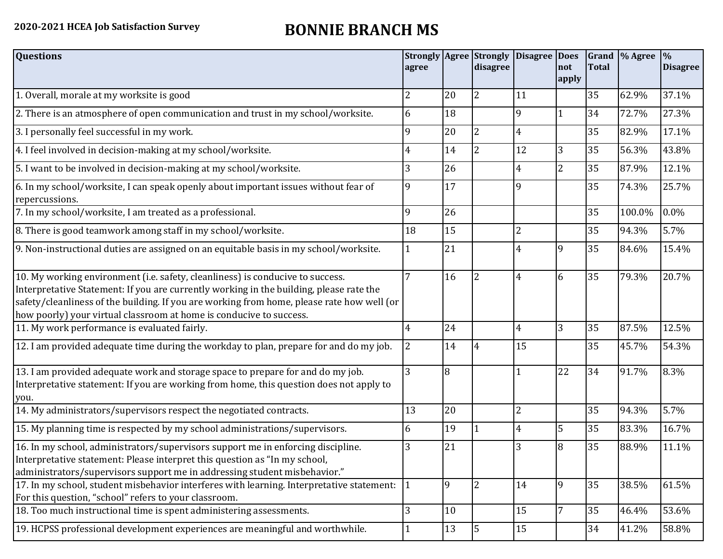## **2020-2021 HCEA Job Satisfaction Survey BONNIE BRANCH MS**

| <b>Questions</b>                                                                                                                                                                                                                                                                                                                               | agree        |    | disagree       | Strongly Agree Strongly Disagree Does | not<br>apply   | <b>Total</b> | Grand \% Agree | $\%$<br><b>Disagree</b> |
|------------------------------------------------------------------------------------------------------------------------------------------------------------------------------------------------------------------------------------------------------------------------------------------------------------------------------------------------|--------------|----|----------------|---------------------------------------|----------------|--------------|----------------|-------------------------|
| 1. Overall, morale at my worksite is good                                                                                                                                                                                                                                                                                                      | 2            | 20 | $\overline{2}$ | 11                                    |                | 35           | 62.9%          | 37.1%                   |
| 2. There is an atmosphere of open communication and trust in my school/worksite.                                                                                                                                                                                                                                                               | 6            | 18 |                | 9                                     | $\mathbf{1}$   | 34           | 72.7%          | 27.3%                   |
| 3. I personally feel successful in my work.                                                                                                                                                                                                                                                                                                    | 9            | 20 | $\overline{2}$ | 4                                     |                | 35           | 82.9%          | 17.1%                   |
| 4. I feel involved in decision-making at my school/worksite.                                                                                                                                                                                                                                                                                   | 4            | 14 | $\overline{2}$ | 12                                    | 3              | 35           | 56.3%          | 43.8%                   |
| 5. I want to be involved in decision-making at my school/worksite.                                                                                                                                                                                                                                                                             | 3            | 26 |                | 4                                     | $\overline{2}$ | 35           | 87.9%          | 12.1%                   |
| 6. In my school/worksite, I can speak openly about important issues without fear of<br>repercussions.                                                                                                                                                                                                                                          | 9            | 17 |                | a                                     |                | 35           | 74.3%          | 25.7%                   |
| 7. In my school/worksite, I am treated as a professional.                                                                                                                                                                                                                                                                                      | 9            | 26 |                |                                       |                | 35           | 100.0%         | 0.0%                    |
| 8. There is good teamwork among staff in my school/worksite.                                                                                                                                                                                                                                                                                   | 18           | 15 |                |                                       |                | 35           | 94.3%          | 5.7%                    |
| 9. Non-instructional duties are assigned on an equitable basis in my school/worksite.                                                                                                                                                                                                                                                          |              | 21 |                | 4                                     | 9              | 35           | 84.6%          | 15.4%                   |
| 10. My working environment (i.e. safety, cleanliness) is conducive to success.<br>Interpretative Statement: If you are currently working in the building, please rate the<br>safety/cleanliness of the building. If you are working from home, please rate how well (or<br>how poorly) your virtual classroom at home is conducive to success. |              | 16 | $\overline{2}$ | 4                                     | 6              | 35           | 79.3%          | 20.7%                   |
| 11. My work performance is evaluated fairly.                                                                                                                                                                                                                                                                                                   | 4            | 24 |                | 4                                     | 3              | 35           | 87.5%          | 12.5%                   |
| 12. I am provided adequate time during the workday to plan, prepare for and do my job.                                                                                                                                                                                                                                                         | 2            | 14 | 4              | 15                                    |                | 35           | 45.7%          | 54.3%                   |
| 13. I am provided adequate work and storage space to prepare for and do my job.<br>Interpretative statement: If you are working from home, this question does not apply to<br>you.                                                                                                                                                             | 3            | 8  |                |                                       | 22             | 34           | 91.7%          | 8.3%                    |
| 14. My administrators/supervisors respect the negotiated contracts.                                                                                                                                                                                                                                                                            | 13           | 20 |                | 2                                     |                | 35           | 94.3%          | 5.7%                    |
| 15. My planning time is respected by my school administrations/supervisors.                                                                                                                                                                                                                                                                    | 6            | 19 | $\mathbf{1}$   | 4                                     | 5              | 35           | 83.3%          | 16.7%                   |
| 16. In my school, administrators/supervisors support me in enforcing discipline.<br>Interpretative statement: Please interpret this question as "In my school,<br>administrators/supervisors support me in addressing student misbehavior."                                                                                                    | 3            | 21 |                | 3                                     | 8              | 35           | 88.9%          | 11.1%                   |
| 17. In my school, student misbehavior interferes with learning. Interpretative statement: $\vert$ 1<br>For this question, "school" refers to your classroom.                                                                                                                                                                                   |              | 9  | $\overline{2}$ | 14                                    | 9              | 35           | 38.5%          | 61.5%                   |
| 18. Too much instructional time is spent administering assessments.                                                                                                                                                                                                                                                                            | 3            | 10 |                | 15                                    |                | 35           | 46.4%          | 53.6%                   |
| 19. HCPSS professional development experiences are meaningful and worthwhile.                                                                                                                                                                                                                                                                  | $\mathbf{1}$ | 13 | 5              | 15                                    |                | 34           | 41.2%          | 58.8%                   |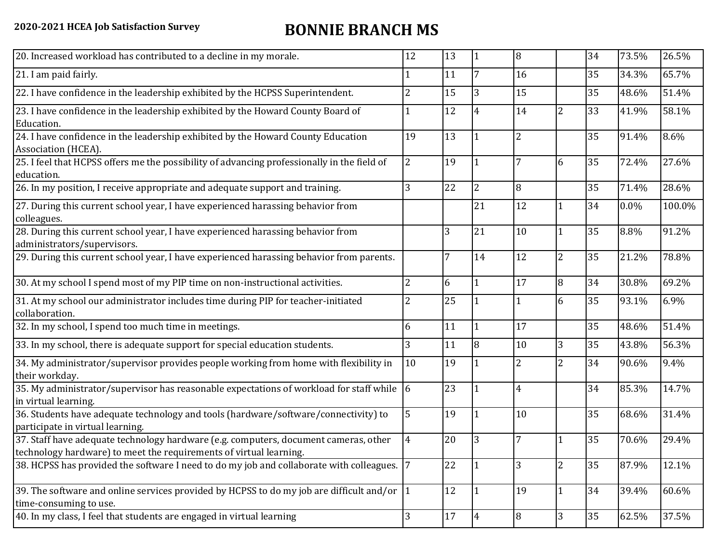## **2020-2021 HCEA Job Satisfaction Survey BONNIE BRANCH MS**

| 20. Increased workload has contributed to a decline in my morale.                                                                                          | 12             | 13 | $\overline{1}$ | 8  |                | 34 | 73.5% | 26.5%  |
|------------------------------------------------------------------------------------------------------------------------------------------------------------|----------------|----|----------------|----|----------------|----|-------|--------|
| 21. I am paid fairly.                                                                                                                                      |                | 11 | $\overline{7}$ | 16 |                | 35 | 34.3% | 65.7%  |
| 22. I have confidence in the leadership exhibited by the HCPSS Superintendent.                                                                             | 2              | 15 | 3              | 15 |                | 35 | 48.6% | 51.4%  |
| 23. I have confidence in the leadership exhibited by the Howard County Board of<br>Education.                                                              |                | 12 | $\overline{4}$ | 14 | 2              | 33 | 41.9% | 58.1%  |
| 24. I have confidence in the leadership exhibited by the Howard County Education<br>Association (HCEA).                                                    | 19             | 13 | $\mathbf{1}$   | 2  |                | 35 | 91.4% | 8.6%   |
| 25. I feel that HCPSS offers me the possibility of advancing professionally in the field of<br>education.                                                  | $\overline{2}$ | 19 | $\mathbf{1}$   |    | 6              | 35 | 72.4% | 27.6%  |
| 26. In my position, I receive appropriate and adequate support and training.                                                                               | 3              | 22 | $\overline{2}$ | 8  |                | 35 | 71.4% | 28.6%  |
| 27. During this current school year, I have experienced harassing behavior from<br>colleagues.                                                             |                |    | 21             | 12 | 1              | 34 | 0.0%  | 100.0% |
| 28. During this current school year, I have experienced harassing behavior from<br>administrators/supervisors.                                             |                | 3  | 21             | 10 | $\mathbf{1}$   | 35 | 8.8%  | 91.2%  |
| 29. During this current school year, I have experienced harassing behavior from parents.                                                                   |                | 7  | 14             | 12 | $\overline{2}$ | 35 | 21.2% | 78.8%  |
| 30. At my school I spend most of my PIP time on non-instructional activities.                                                                              | $\overline{2}$ | 6  | $\mathbf{1}$   | 17 | 8              | 34 | 30.8% | 69.2%  |
| 31. At my school our administrator includes time during PIP for teacher-initiated<br>collaboration.                                                        | 2              | 25 | $\mathbf{1}$   |    | 6              | 35 | 93.1% | 6.9%   |
| 32. In my school, I spend too much time in meetings.                                                                                                       | 6              | 11 | $\mathbf{1}$   | 17 |                | 35 | 48.6% | 51.4%  |
| 33. In my school, there is adequate support for special education students.                                                                                | 3              | 11 | 8              | 10 | 3              | 35 | 43.8% | 56.3%  |
| 34. My administrator/supervisor provides people working from home with flexibility in<br>their workday.                                                    | 10             | 19 | $\mathbf{1}$   | 2  | $\overline{2}$ | 34 | 90.6% | 9.4%   |
| 35. My administrator/supervisor has reasonable expectations of workload for staff while $\vert 6 \vert$<br>in virtual learning.                            |                | 23 | $\mathbf{1}$   | 4  |                | 34 | 85.3% | 14.7%  |
| 36. Students have adequate technology and tools (hardware/software/connectivity) to<br>participate in virtual learning.                                    | 5              | 19 | $\mathbf{1}$   | 10 |                | 35 | 68.6% | 31.4%  |
| 37. Staff have adequate technology hardware (e.g. computers, document cameras, other<br>technology hardware) to meet the requirements of virtual learning. | 4              | 20 | 3              |    | $\mathbf{1}$   | 35 | 70.6% | 29.4%  |
| 38. HCPSS has provided the software I need to do my job and collaborate with colleagues.  7                                                                |                | 22 | $\mathbf{1}$   | 3  | 2              | 35 | 87.9% | 12.1%  |
| 39. The software and online services provided by HCPSS to do my job are difficult and/or $\left 1\right $<br>time-consuming to use.                        |                | 12 | $\mathbf{1}$   | 19 | $\mathbf{1}$   | 34 | 39.4% | 60.6%  |
| 40. In my class, I feel that students are engaged in virtual learning                                                                                      | 3              | 17 | $\overline{4}$ | 8  | 3              | 35 | 62.5% | 37.5%  |